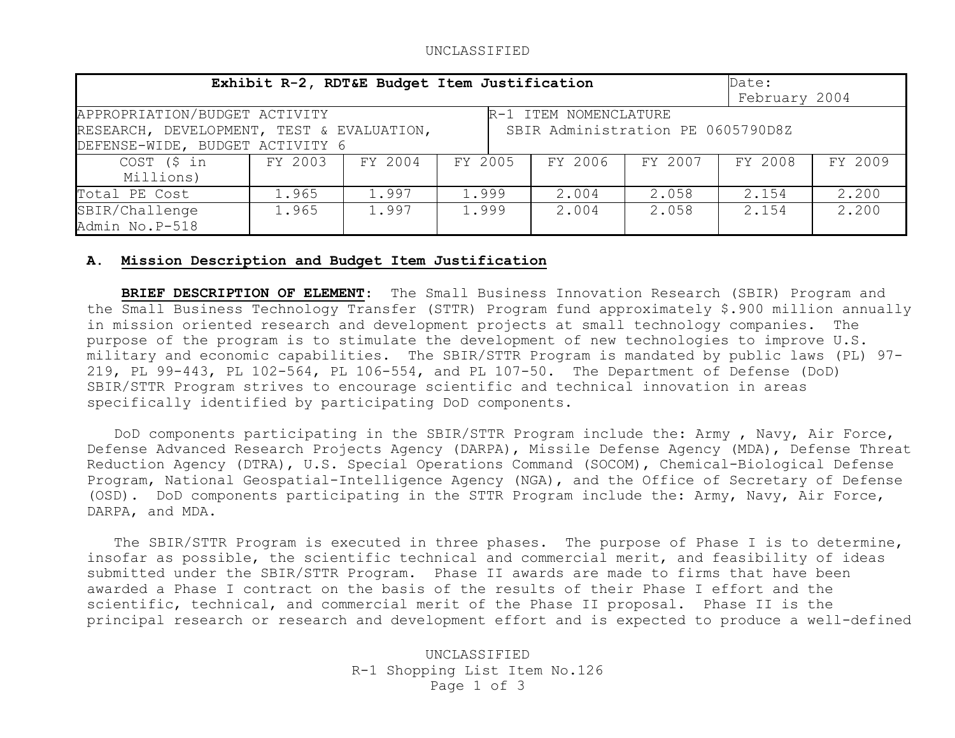## UNCLASSIFIED

| Exhibit R-2, RDT&E Budget Item Justification                                                                                                                                | Date:<br>February 2004 |         |         |         |         |         |         |  |
|-----------------------------------------------------------------------------------------------------------------------------------------------------------------------------|------------------------|---------|---------|---------|---------|---------|---------|--|
| APPROPRIATION/BUDGET ACTIVITY<br>R-1 ITEM NOMENCLATURE<br>RESEARCH, DEVELOPMENT, TEST & EVALUATION,<br>SBIR Administration PE 0605790D8Z<br>DEFENSE-WIDE, BUDGET ACTIVITY 6 |                        |         |         |         |         |         |         |  |
| COST (\$ in<br>Millions)                                                                                                                                                    | FY 2003                | FY 2004 | FY 2005 | FY 2006 | FY 2007 | FY 2008 | FY 2009 |  |
| Total PE Cost                                                                                                                                                               | 1.965                  | 1.997   | 1.999   | 2.004   | 2.058   | 2.154   | 2.200   |  |
| SBIR/Challenge<br>Admin No.P-518                                                                                                                                            | 1.965                  | 1.997   | 1.999   | 2.004   | 2.058   | 2.154   | 2,200   |  |

## **A. Mission Description and Budget Item Justification**

 **BRIEF DESCRIPTION OF ELEMENT**: The Small Business Innovation Research (SBIR) Program and the Small Business Technology Transfer (STTR) Program fund approximately \$.900 million annually in mission oriented research and development projects at small technology companies. The purpose of the program is to stimulate the development of new technologies to improve U.S. military and economic capabilities. The SBIR/STTR Program is mandated by public laws (PL) 97- 219, PL 99-443, PL 102-564, PL 106-554, and PL 107-50. The Department of Defense (DoD) SBIR/STTR Program strives to encourage scientific and technical innovation in areas specifically identified by participating DoD components.

 DoD components participating in the SBIR/STTR Program include the: Army , Navy, Air Force, Defense Advanced Research Projects Agency (DARPA), Missile Defense Agency (MDA), Defense Threat Reduction Agency (DTRA), U.S. Special Operations Command (SOCOM), Chemical-Biological Defense Program, National Geospatial-Intelligence Agency (NGA), and the Office of Secretary of Defense (OSD). DoD components participating in the STTR Program include the: Army, Navy, Air Force, DARPA, and MDA.

The SBIR/STTR Program is executed in three phases. The purpose of Phase I is to determine, insofar as possible, the scientific technical and commercial merit, and feasibility of ideas submitted under the SBIR/STTR Program. Phase II awards are made to firms that have been awarded a Phase I contract on the basis of the results of their Phase I effort and the scientific, technical, and commercial merit of the Phase II proposal. Phase II is the principal research or research and development effort and is expected to produce a well-defined

> UNCLASSIFIED R-1 Shopping List Item No.126 Page 1 of 3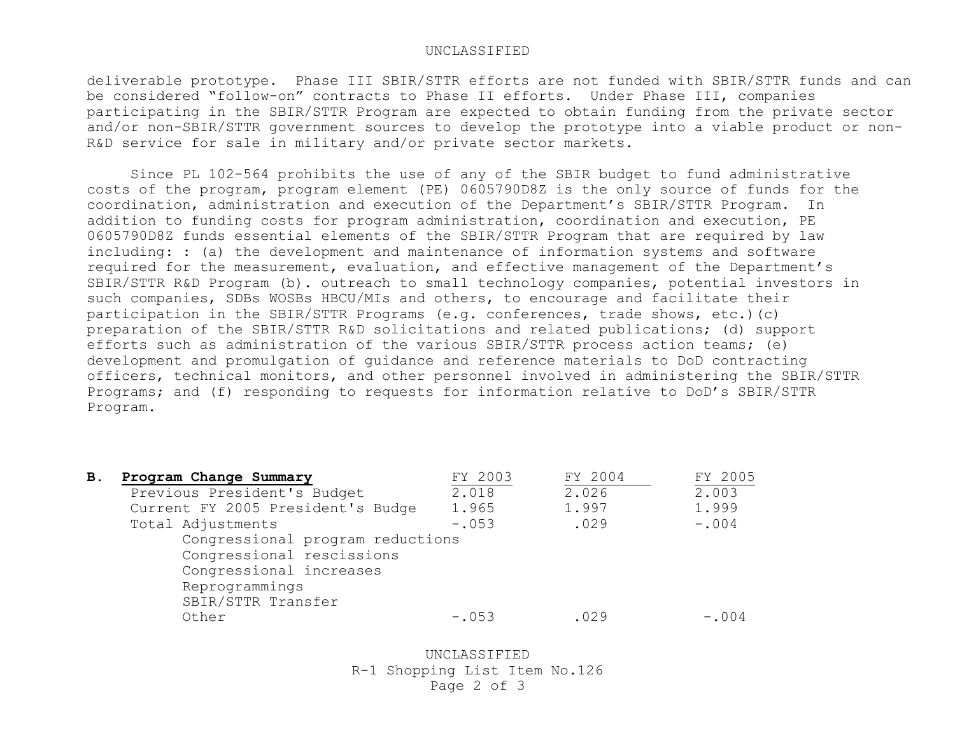## UNCLASSIFIED

deliverable prototype. Phase III SBIR/STTR efforts are not funded with SBIR/STTR funds and can be considered "follow-on" contracts to Phase II efforts. Under Phase III, companies participating in the SBIR/STTR Program are expected to obtain funding from the private sector and/or non-SBIR/STTR government sources to develop the prototype into a viable product or non-R&D service for sale in military and/or private sector markets.

 Since PL 102-564 prohibits the use of any of the SBIR budget to fund administrative costs of the program, program element (PE) 0605790D8Z is the only source of funds for the coordination, administration and execution of the Department's SBIR/STTR Program. In addition to funding costs for program administration, coordination and execution, PE 0605790D8Z funds essential elements of the SBIR/STTR Program that are required by law including: : (a) the development and maintenance of information systems and software required for the measurement, evaluation, and effective management of the Department's SBIR/STTR R&D Program (b). outreach to small technology companies, potential investors in such companies, SDBs WOSBs HBCU/MIs and others, to encourage and facilitate their participation in the SBIR/STTR Programs (e.g. conferences, trade shows, etc.)(c) preparation of the SBIR/STTR R&D solicitations and related publications; (d) support efforts such as administration of the various SBIR/STTR process action teams; (e) development and promulgation of guidance and reference materials to DoD contracting officers, technical monitors, and other personnel involved in administering the SBIR/STTR Programs; and (f) responding to requests for information relative to DoD's SBIR/STTR Program.

| В. | Program Change Summary            | FY 2003 | FY 2004 | FY 2005 |
|----|-----------------------------------|---------|---------|---------|
|    | Previous President's Budget       | 2.018   | 2.026   | 2.003   |
|    | Current FY 2005 President's Budge | 1.965   | 1.997   | 1.999   |
|    | Total Adjustments                 | $-.053$ | .029    | $-.004$ |
|    | Congressional program reductions  |         |         |         |
|    | Congressional rescissions         |         |         |         |
|    | Congressional increases           |         |         |         |
|    | Reprogrammings                    |         |         |         |
|    | SBIR/STTR Transfer                |         |         |         |
|    | Other                             | $-.053$ | .029    | $-.004$ |

UNCLASSIFIED R-1 Shopping List Item No.126 Page 2 of 3